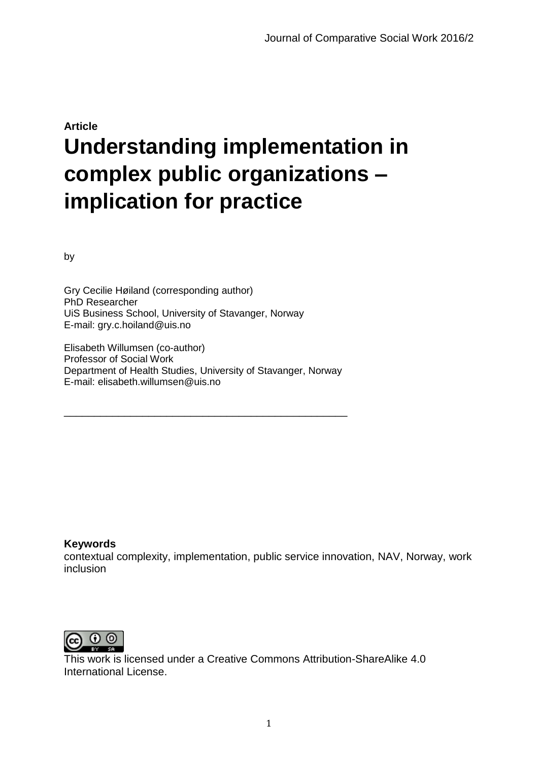# **Article Understanding implementation in complex public organizations – implication for practice**

by

Gry Cecilie Høiland (corresponding author) PhD Researcher UiS Business School, University of Stavanger, Norway E-mail: gry.c.hoiland@uis.no

Elisabeth Willumsen (co-author) Professor of Social Work Department of Health Studies, University of Stavanger, Norway E-mail: elisabeth.willumsen@uis.no

\_\_\_\_\_\_\_\_\_\_\_\_\_\_\_\_\_\_\_\_\_\_\_\_\_\_\_\_\_\_\_\_\_\_\_\_\_\_\_\_\_\_\_\_\_\_\_

#### **Keywords**

contextual complexity, implementation, public service innovation, NAV, Norway, work inclusion



This work is licensed under a Creative Commons Attribution-ShareAlike 4.0 International License.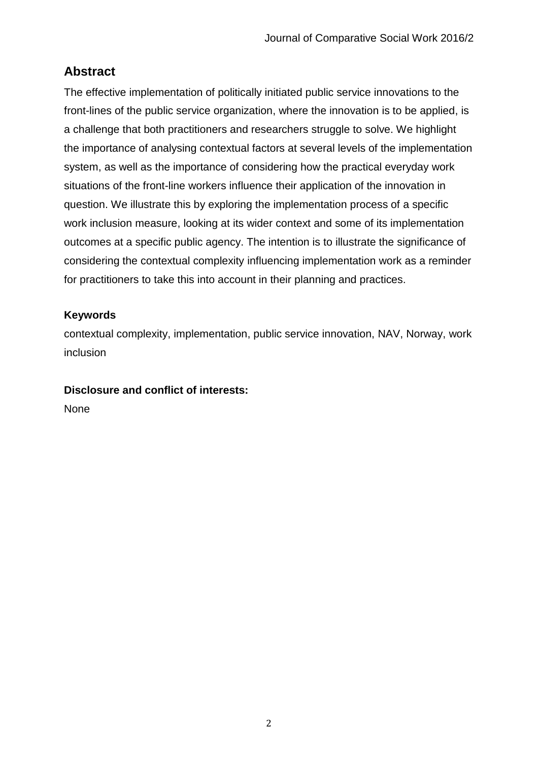# **Abstract**

The effective implementation of politically initiated public service innovations to the front-lines of the public service organization, where the innovation is to be applied, is a challenge that both practitioners and researchers struggle to solve. We highlight the importance of analysing contextual factors at several levels of the implementation system, as well as the importance of considering how the practical everyday work situations of the front-line workers influence their application of the innovation in question. We illustrate this by exploring the implementation process of a specific work inclusion measure, looking at its wider context and some of its implementation outcomes at a specific public agency. The intention is to illustrate the significance of considering the contextual complexity influencing implementation work as a reminder for practitioners to take this into account in their planning and practices.

## **Keywords**

contextual complexity, implementation, public service innovation, NAV, Norway, work inclusion

## **Disclosure and conflict of interests:**

None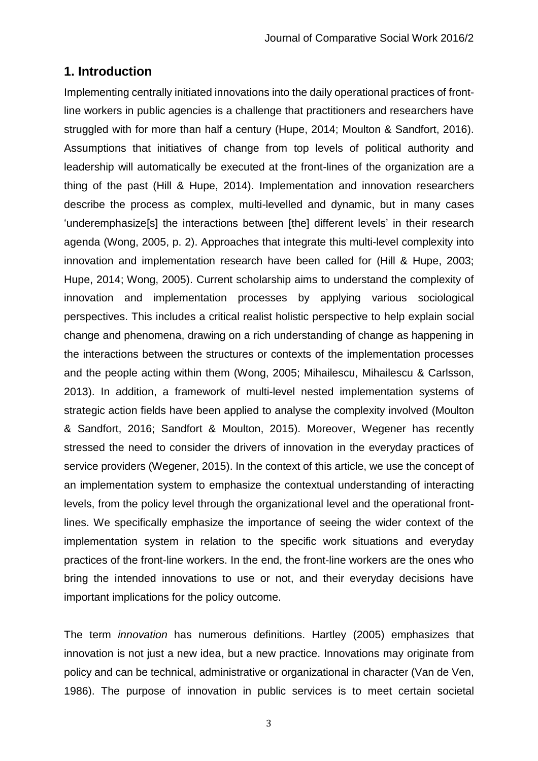# **1. Introduction**

Implementing centrally initiated innovations into the daily operational practices of frontline workers in public agencies is a challenge that practitioners and researchers have struggled with for more than half a century (Hupe, 2014; Moulton & Sandfort, 2016). Assumptions that initiatives of change from top levels of political authority and leadership will automatically be executed at the front-lines of the organization are a thing of the past (Hill & Hupe, 2014). Implementation and innovation researchers describe the process as complex, multi-levelled and dynamic, but in many cases 'underemphasize[s] the interactions between [the] different levels' in their research agenda (Wong, 2005, p. 2). Approaches that integrate this multi-level complexity into innovation and implementation research have been called for (Hill & Hupe, 2003; Hupe, 2014; Wong, 2005). Current scholarship aims to understand the complexity of innovation and implementation processes by applying various sociological perspectives. This includes a critical realist holistic perspective to help explain social change and phenomena, drawing on a rich understanding of change as happening in the interactions between the structures or contexts of the implementation processes and the people acting within them (Wong, 2005; Mihailescu, Mihailescu & Carlsson, 2013). In addition, a framework of multi-level nested implementation systems of strategic action fields have been applied to analyse the complexity involved (Moulton & Sandfort, 2016; Sandfort & Moulton, 2015). Moreover, Wegener has recently stressed the need to consider the drivers of innovation in the everyday practices of service providers (Wegener, 2015). In the context of this article, we use the concept of an implementation system to emphasize the contextual understanding of interacting levels, from the policy level through the organizational level and the operational frontlines. We specifically emphasize the importance of seeing the wider context of the implementation system in relation to the specific work situations and everyday practices of the front-line workers. In the end, the front-line workers are the ones who bring the intended innovations to use or not, and their everyday decisions have important implications for the policy outcome.

The term *innovation* has numerous definitions. Hartley (2005) emphasizes that innovation is not just a new idea, but a new practice. Innovations may originate from policy and can be technical, administrative or organizational in character (Van de Ven, 1986). The purpose of innovation in public services is to meet certain societal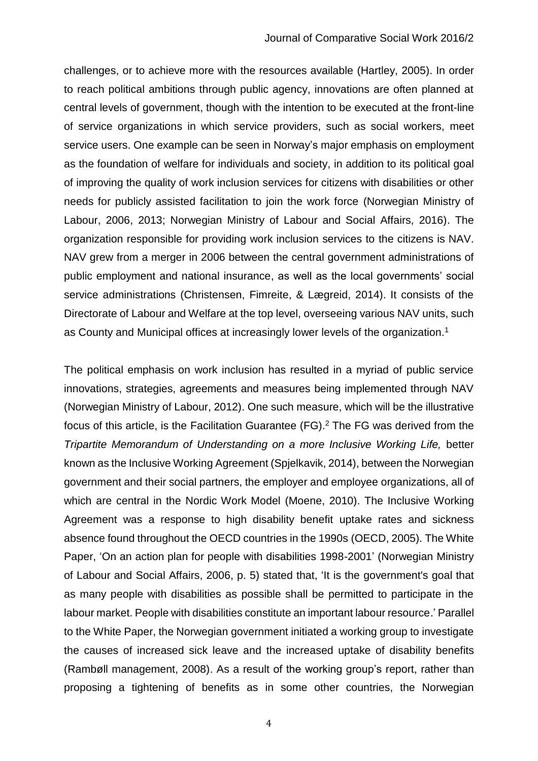challenges, or to achieve more with the resources available (Hartley, 2005). In order to reach political ambitions through public agency, innovations are often planned at central levels of government, though with the intention to be executed at the front-line of service organizations in which service providers, such as social workers, meet service users. One example can be seen in Norway's major emphasis on employment as the foundation of welfare for individuals and society, in addition to its political goal of improving the quality of work inclusion services for citizens with disabilities or other needs for publicly assisted facilitation to join the work force (Norwegian Ministry of Labour, 2006, 2013; Norwegian Ministry of Labour and Social Affairs, 2016). The organization responsible for providing work inclusion services to the citizens is NAV. NAV grew from a merger in 2006 between the central government administrations of public employment and national insurance, as well as the local governments' social service administrations (Christensen, Fimreite, & Lægreid, 2014). It consists of the Directorate of Labour and Welfare at the top level, overseeing various NAV units, such as County and Municipal offices at increasingly lower levels of the organization.<sup>1</sup>

The political emphasis on work inclusion has resulted in a myriad of public service innovations, strategies, agreements and measures being implemented through NAV (Norwegian Ministry of Labour, 2012). One such measure, which will be the illustrative focus of this article, is the Facilitation Guarantee (FG). <sup>2</sup> The FG was derived from the *Tripartite Memorandum of Understanding on a more Inclusive Working Life, better* known as the Inclusive Working Agreement (Spjelkavik, 2014), between the Norwegian government and their social partners, the employer and employee organizations, all of which are central in the Nordic Work Model (Moene, 2010). The Inclusive Working Agreement was a response to high disability benefit uptake rates and sickness absence found throughout the OECD countries in the 1990s (OECD, 2005). The White Paper, 'On an action plan for people with disabilities 1998-2001' (Norwegian Ministry of Labour and Social Affairs, 2006, p. 5) stated that, 'It is the government's goal that as many people with disabilities as possible shall be permitted to participate in the labour market. People with disabilities constitute an important labour resource.' Parallel to the White Paper, the Norwegian government initiated a working group to investigate the causes of increased sick leave and the increased uptake of disability benefits (Rambøll management, 2008). As a result of the working group's report, rather than proposing a tightening of benefits as in some other countries, the Norwegian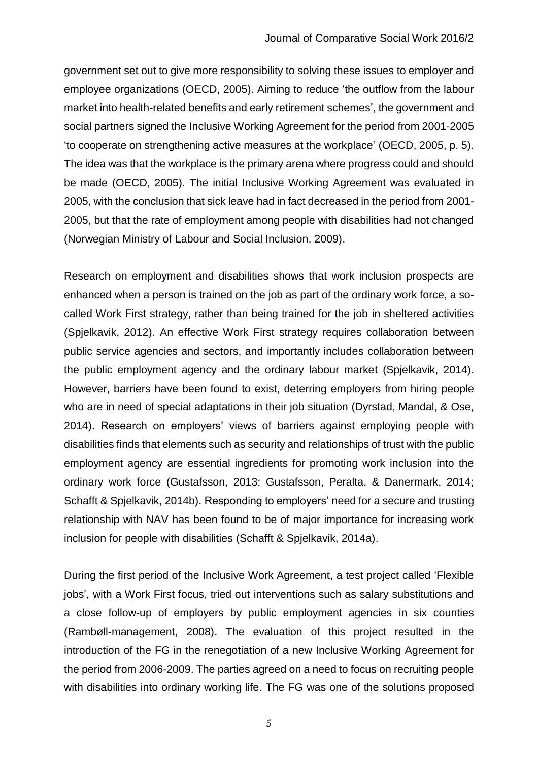government set out to give more responsibility to solving these issues to employer and employee organizations (OECD, 2005). Aiming to reduce 'the outflow from the labour market into health-related benefits and early retirement schemes', the government and social partners signed the Inclusive Working Agreement for the period from 2001-2005 'to cooperate on strengthening active measures at the workplace' (OECD, 2005, p. 5). The idea was that the workplace is the primary arena where progress could and should be made (OECD, 2005). The initial Inclusive Working Agreement was evaluated in 2005, with the conclusion that sick leave had in fact decreased in the period from 2001- 2005, but that the rate of employment among people with disabilities had not changed (Norwegian Ministry of Labour and Social Inclusion, 2009).

Research on employment and disabilities shows that work inclusion prospects are enhanced when a person is trained on the job as part of the ordinary work force, a socalled Work First strategy, rather than being trained for the job in sheltered activities (Spjelkavik, 2012). An effective Work First strategy requires collaboration between public service agencies and sectors, and importantly includes collaboration between the public employment agency and the ordinary labour market (Spjelkavik, 2014). However, barriers have been found to exist, deterring employers from hiring people who are in need of special adaptations in their job situation (Dyrstad, Mandal, & Ose, 2014). Research on employers' views of barriers against employing people with disabilities finds that elements such as security and relationships of trust with the public employment agency are essential ingredients for promoting work inclusion into the ordinary work force (Gustafsson, 2013; Gustafsson, Peralta, & Danermark, 2014; Schafft & Spjelkavik, 2014b). Responding to employers' need for a secure and trusting relationship with NAV has been found to be of major importance for increasing work inclusion for people with disabilities (Schafft & Spjelkavik, 2014a).

During the first period of the Inclusive Work Agreement, a test project called 'Flexible jobs', with a Work First focus, tried out interventions such as salary substitutions and a close follow-up of employers by public employment agencies in six counties (Rambøll-management, 2008). The evaluation of this project resulted in the introduction of the FG in the renegotiation of a new Inclusive Working Agreement for the period from 2006-2009. The parties agreed on a need to focus on recruiting people with disabilities into ordinary working life. The FG was one of the solutions proposed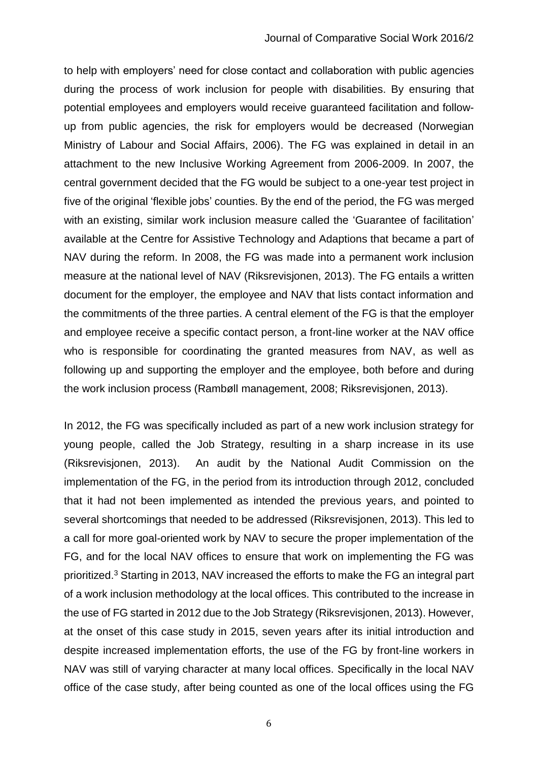to help with employers' need for close contact and collaboration with public agencies during the process of work inclusion for people with disabilities. By ensuring that potential employees and employers would receive guaranteed facilitation and followup from public agencies, the risk for employers would be decreased (Norwegian Ministry of Labour and Social Affairs, 2006). The FG was explained in detail in an attachment to the new Inclusive Working Agreement from 2006-2009. In 2007, the central government decided that the FG would be subject to a one-year test project in five of the original 'flexible jobs' counties. By the end of the period, the FG was merged with an existing, similar work inclusion measure called the 'Guarantee of facilitation' available at the Centre for Assistive Technology and Adaptions that became a part of NAV during the reform. In 2008, the FG was made into a permanent work inclusion measure at the national level of NAV (Riksrevisjonen, 2013). The FG entails a written document for the employer, the employee and NAV that lists contact information and the commitments of the three parties. A central element of the FG is that the employer and employee receive a specific contact person, a front-line worker at the NAV office who is responsible for coordinating the granted measures from NAV, as well as following up and supporting the employer and the employee, both before and during the work inclusion process (Rambøll management, 2008; Riksrevisjonen, 2013).

In 2012, the FG was specifically included as part of a new work inclusion strategy for young people, called the Job Strategy, resulting in a sharp increase in its use (Riksrevisjonen, 2013). An audit by the National Audit Commission on the implementation of the FG, in the period from its introduction through 2012, concluded that it had not been implemented as intended the previous years, and pointed to several shortcomings that needed to be addressed (Riksrevisjonen, 2013). This led to a call for more goal-oriented work by NAV to secure the proper implementation of the FG, and for the local NAV offices to ensure that work on implementing the FG was prioritized. <sup>3</sup> Starting in 2013, NAV increased the efforts to make the FG an integral part of a work inclusion methodology at the local offices. This contributed to the increase in the use of FG started in 2012 due to the Job Strategy (Riksrevisjonen, 2013). However, at the onset of this case study in 2015, seven years after its initial introduction and despite increased implementation efforts, the use of the FG by front-line workers in NAV was still of varying character at many local offices. Specifically in the local NAV office of the case study, after being counted as one of the local offices using the FG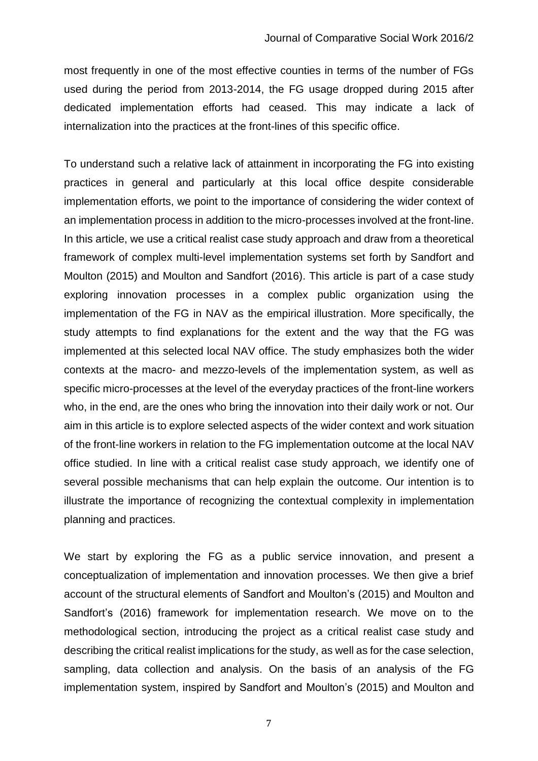most frequently in one of the most effective counties in terms of the number of FGs used during the period from 2013-2014, the FG usage dropped during 2015 after dedicated implementation efforts had ceased. This may indicate a lack of internalization into the practices at the front-lines of this specific office.

To understand such a relative lack of attainment in incorporating the FG into existing practices in general and particularly at this local office despite considerable implementation efforts, we point to the importance of considering the wider context of an implementation process in addition to the micro-processes involved at the front-line. In this article, we use a critical realist case study approach and draw from a theoretical framework of complex multi-level implementation systems set forth by Sandfort and Moulton (2015) and Moulton and Sandfort (2016). This article is part of a case study exploring innovation processes in a complex public organization using the implementation of the FG in NAV as the empirical illustration. More specifically, the study attempts to find explanations for the extent and the way that the FG was implemented at this selected local NAV office. The study emphasizes both the wider contexts at the macro- and mezzo-levels of the implementation system, as well as specific micro-processes at the level of the everyday practices of the front-line workers who, in the end, are the ones who bring the innovation into their daily work or not. Our aim in this article is to explore selected aspects of the wider context and work situation of the front-line workers in relation to the FG implementation outcome at the local NAV office studied. In line with a critical realist case study approach, we identify one of several possible mechanisms that can help explain the outcome. Our intention is to illustrate the importance of recognizing the contextual complexity in implementation planning and practices.

We start by exploring the FG as a public service innovation, and present a conceptualization of implementation and innovation processes. We then give a brief account of the structural elements of Sandfort and Moulton's (2015) and Moulton and Sandfort's (2016) framework for implementation research. We move on to the methodological section, introducing the project as a critical realist case study and describing the critical realist implications for the study, as well as for the case selection, sampling, data collection and analysis. On the basis of an analysis of the FG implementation system, inspired by Sandfort and Moulton's (2015) and Moulton and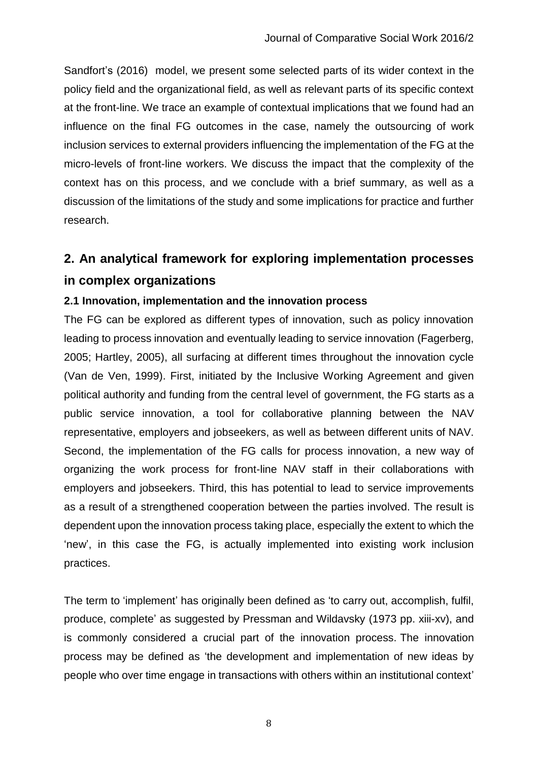Sandfort's (2016) model, we present some selected parts of its wider context in the policy field and the organizational field, as well as relevant parts of its specific context at the front-line. We trace an example of contextual implications that we found had an influence on the final FG outcomes in the case, namely the outsourcing of work inclusion services to external providers influencing the implementation of the FG at the micro-levels of front-line workers. We discuss the impact that the complexity of the context has on this process, and we conclude with a brief summary, as well as a discussion of the limitations of the study and some implications for practice and further research.

# **2. An analytical framework for exploring implementation processes in complex organizations**

### **2.1 Innovation, implementation and the innovation process**

The FG can be explored as different types of innovation, such as policy innovation leading to process innovation and eventually leading to service innovation (Fagerberg, 2005; Hartley, 2005), all surfacing at different times throughout the innovation cycle (Van de Ven, 1999). First, initiated by the Inclusive Working Agreement and given political authority and funding from the central level of government, the FG starts as a public service innovation, a tool for collaborative planning between the NAV representative, employers and jobseekers, as well as between different units of NAV. Second, the implementation of the FG calls for process innovation, a new way of organizing the work process for front-line NAV staff in their collaborations with employers and jobseekers. Third, this has potential to lead to service improvements as a result of a strengthened cooperation between the parties involved. The result is dependent upon the innovation process taking place, especially the extent to which the 'new', in this case the FG, is actually implemented into existing work inclusion practices.

The term to 'implement' has originally been defined as 'to carry out, accomplish, fulfil, produce, complete' as suggested by Pressman and Wildavsky (1973 pp. xiii-xv), and is commonly considered a crucial part of the innovation process. The innovation process may be defined as 'the development and implementation of new ideas by people who over time engage in transactions with others within an institutional context'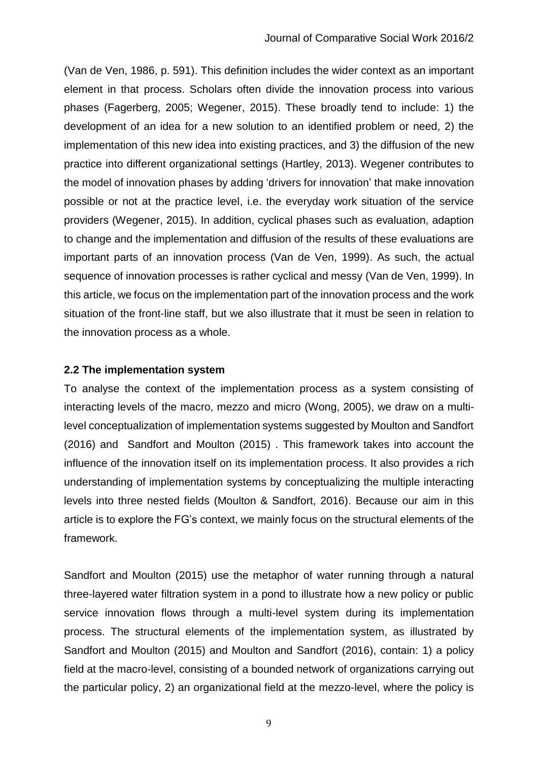(Van de Ven, 1986, p. 591). This definition includes the wider context as an important element in that process. Scholars often divide the innovation process into various phases (Fagerberg, 2005; Wegener, 2015). These broadly tend to include: 1) the development of an idea for a new solution to an identified problem or need, 2) the implementation of this new idea into existing practices, and 3) the diffusion of the new practice into different organizational settings (Hartley, 2013). Wegener contributes to the model of innovation phases by adding 'drivers for innovation' that make innovation possible or not at the practice level, i.e. the everyday work situation of the service providers (Wegener, 2015). In addition, cyclical phases such as evaluation, adaption to change and the implementation and diffusion of the results of these evaluations are important parts of an innovation process (Van de Ven, 1999). As such, the actual sequence of innovation processes is rather cyclical and messy (Van de Ven, 1999). In this article, we focus on the implementation part of the innovation process and the work situation of the front-line staff, but we also illustrate that it must be seen in relation to the innovation process as a whole.

#### **2.2 The implementation system**

To analyse the context of the implementation process as a system consisting of interacting levels of the macro, mezzo and micro (Wong, 2005), we draw on a multilevel conceptualization of implementation systems suggested by Moulton and Sandfort (2016) and Sandfort and Moulton (2015) . This framework takes into account the influence of the innovation itself on its implementation process. It also provides a rich understanding of implementation systems by conceptualizing the multiple interacting levels into three nested fields (Moulton & Sandfort, 2016). Because our aim in this article is to explore the FG's context, we mainly focus on the structural elements of the framework.

Sandfort and Moulton (2015) use the metaphor of water running through a natural three-layered water filtration system in a pond to illustrate how a new policy or public service innovation flows through a multi-level system during its implementation process. The structural elements of the implementation system, as illustrated by Sandfort and Moulton (2015) and Moulton and Sandfort (2016), contain: 1) a policy field at the macro-level, consisting of a bounded network of organizations carrying out the particular policy, 2) an organizational field at the mezzo-level, where the policy is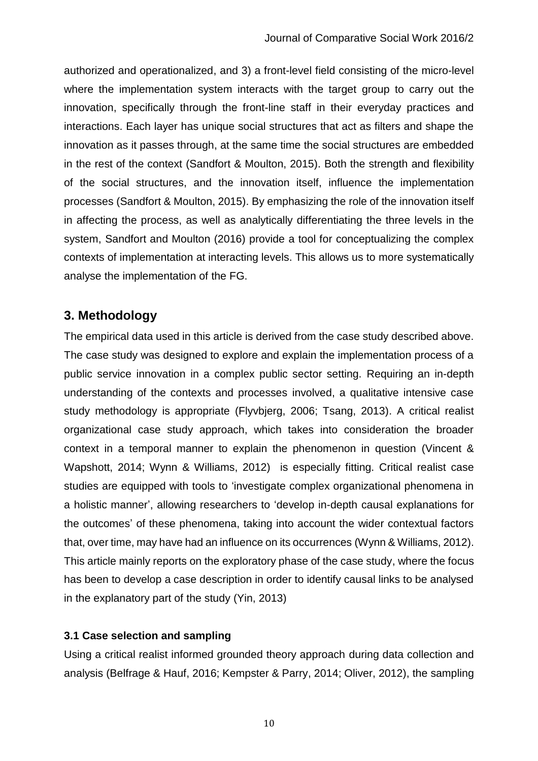authorized and operationalized, and 3) a front-level field consisting of the micro-level where the implementation system interacts with the target group to carry out the innovation, specifically through the front-line staff in their everyday practices and interactions. Each layer has unique social structures that act as filters and shape the innovation as it passes through, at the same time the social structures are embedded in the rest of the context (Sandfort & Moulton, 2015). Both the strength and flexibility of the social structures, and the innovation itself, influence the implementation processes (Sandfort & Moulton, 2015). By emphasizing the role of the innovation itself in affecting the process, as well as analytically differentiating the three levels in the system, Sandfort and Moulton (2016) provide a tool for conceptualizing the complex contexts of implementation at interacting levels. This allows us to more systematically analyse the implementation of the FG.

# **3. Methodology**

The empirical data used in this article is derived from the case study described above. The case study was designed to explore and explain the implementation process of a public service innovation in a complex public sector setting. Requiring an in-depth understanding of the contexts and processes involved, a qualitative intensive case study methodology is appropriate (Flyvbjerg, 2006; Tsang, 2013). A critical realist organizational case study approach, which takes into consideration the broader context in a temporal manner to explain the phenomenon in question (Vincent & Wapshott, 2014; Wynn & Williams, 2012) is especially fitting. Critical realist case studies are equipped with tools to 'investigate complex organizational phenomena in a holistic manner', allowing researchers to 'develop in-depth causal explanations for the outcomes' of these phenomena, taking into account the wider contextual factors that, over time, may have had an influence on its occurrences (Wynn & Williams, 2012). This article mainly reports on the exploratory phase of the case study, where the focus has been to develop a case description in order to identify causal links to be analysed in the explanatory part of the study (Yin, 2013)

#### **3.1 Case selection and sampling**

Using a critical realist informed grounded theory approach during data collection and analysis (Belfrage & Hauf, 2016; Kempster & Parry, 2014; Oliver, 2012), the sampling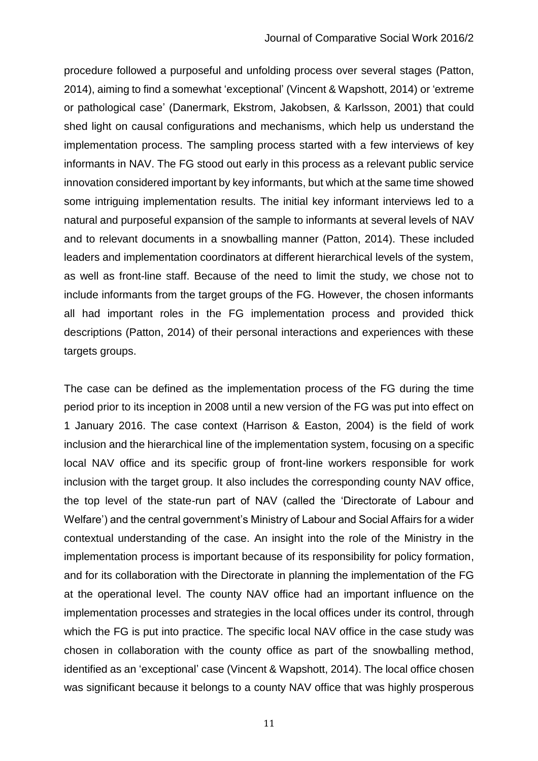procedure followed a purposeful and unfolding process over several stages (Patton, 2014), aiming to find a somewhat 'exceptional' (Vincent & Wapshott, 2014) or 'extreme or pathological case' (Danermark, Ekstrom, Jakobsen, & Karlsson, 2001) that could shed light on causal configurations and mechanisms, which help us understand the implementation process. The sampling process started with a few interviews of key informants in NAV. The FG stood out early in this process as a relevant public service innovation considered important by key informants, but which at the same time showed some intriguing implementation results. The initial key informant interviews led to a natural and purposeful expansion of the sample to informants at several levels of NAV and to relevant documents in a snowballing manner (Patton, 2014). These included leaders and implementation coordinators at different hierarchical levels of the system, as well as front-line staff. Because of the need to limit the study, we chose not to include informants from the target groups of the FG. However, the chosen informants all had important roles in the FG implementation process and provided thick descriptions (Patton, 2014) of their personal interactions and experiences with these targets groups.

The case can be defined as the implementation process of the FG during the time period prior to its inception in 2008 until a new version of the FG was put into effect on 1 January 2016. The case context (Harrison & Easton, 2004) is the field of work inclusion and the hierarchical line of the implementation system, focusing on a specific local NAV office and its specific group of front-line workers responsible for work inclusion with the target group. It also includes the corresponding county NAV office, the top level of the state-run part of NAV (called the 'Directorate of Labour and Welfare') and the central government's Ministry of Labour and Social Affairs for a wider contextual understanding of the case. An insight into the role of the Ministry in the implementation process is important because of its responsibility for policy formation, and for its collaboration with the Directorate in planning the implementation of the FG at the operational level. The county NAV office had an important influence on the implementation processes and strategies in the local offices under its control, through which the FG is put into practice. The specific local NAV office in the case study was chosen in collaboration with the county office as part of the snowballing method, identified as an 'exceptional' case (Vincent & Wapshott, 2014). The local office chosen was significant because it belongs to a county NAV office that was highly prosperous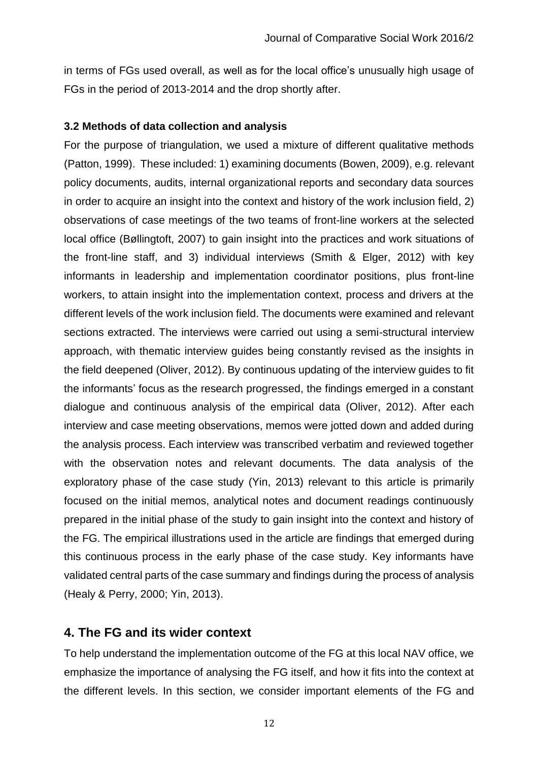in terms of FGs used overall, as well as for the local office's unusually high usage of FGs in the period of 2013-2014 and the drop shortly after.

#### **3.2 Methods of data collection and analysis**

For the purpose of triangulation, we used a mixture of different qualitative methods (Patton, 1999). These included: 1) examining documents (Bowen, 2009), e.g. relevant policy documents, audits, internal organizational reports and secondary data sources in order to acquire an insight into the context and history of the work inclusion field, 2) observations of case meetings of the two teams of front-line workers at the selected local office (Bøllingtoft, 2007) to gain insight into the practices and work situations of the front-line staff, and 3) individual interviews (Smith & Elger, 2012) with key informants in leadership and implementation coordinator positions, plus front-line workers, to attain insight into the implementation context, process and drivers at the different levels of the work inclusion field. The documents were examined and relevant sections extracted. The interviews were carried out using a semi-structural interview approach, with thematic interview guides being constantly revised as the insights in the field deepened (Oliver, 2012). By continuous updating of the interview guides to fit the informants' focus as the research progressed, the findings emerged in a constant dialogue and continuous analysis of the empirical data (Oliver, 2012). After each interview and case meeting observations, memos were jotted down and added during the analysis process. Each interview was transcribed verbatim and reviewed together with the observation notes and relevant documents. The data analysis of the exploratory phase of the case study (Yin, 2013) relevant to this article is primarily focused on the initial memos, analytical notes and document readings continuously prepared in the initial phase of the study to gain insight into the context and history of the FG. The empirical illustrations used in the article are findings that emerged during this continuous process in the early phase of the case study. Key informants have validated central parts of the case summary and findings during the process of analysis (Healy & Perry, 2000; Yin, 2013).

# **4. The FG and its wider context**

To help understand the implementation outcome of the FG at this local NAV office, we emphasize the importance of analysing the FG itself, and how it fits into the context at the different levels. In this section, we consider important elements of the FG and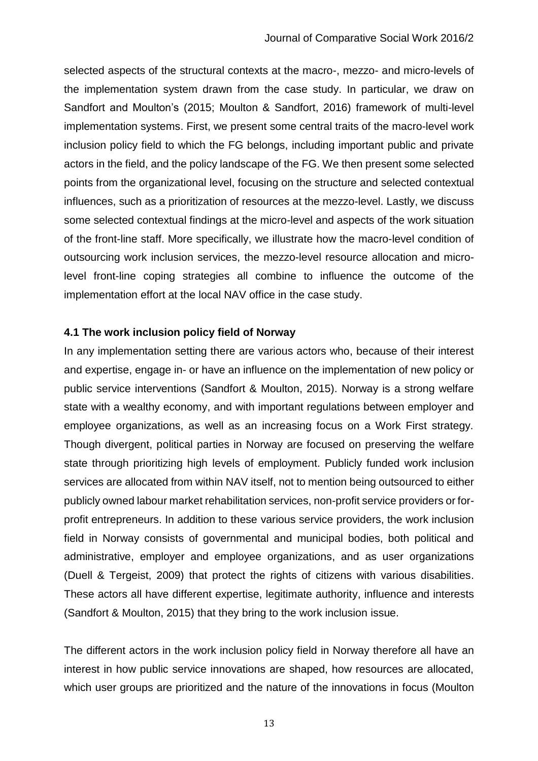selected aspects of the structural contexts at the macro-, mezzo- and micro-levels of the implementation system drawn from the case study. In particular, we draw on Sandfort and Moulton's (2015; Moulton & Sandfort, 2016) framework of multi-level implementation systems. First, we present some central traits of the macro-level work inclusion policy field to which the FG belongs, including important public and private actors in the field, and the policy landscape of the FG. We then present some selected points from the organizational level, focusing on the structure and selected contextual influences, such as a prioritization of resources at the mezzo-level. Lastly, we discuss some selected contextual findings at the micro-level and aspects of the work situation of the front-line staff. More specifically, we illustrate how the macro-level condition of outsourcing work inclusion services, the mezzo-level resource allocation and microlevel front-line coping strategies all combine to influence the outcome of the implementation effort at the local NAV office in the case study.

#### **4.1 The work inclusion policy field of Norway**

In any implementation setting there are various actors who, because of their interest and expertise, engage in- or have an influence on the implementation of new policy or public service interventions (Sandfort & Moulton, 2015). Norway is a strong welfare state with a wealthy economy, and with important regulations between employer and employee organizations, as well as an increasing focus on a Work First strategy. Though divergent, political parties in Norway are focused on preserving the welfare state through prioritizing high levels of employment. Publicly funded work inclusion services are allocated from within NAV itself, not to mention being outsourced to either publicly owned labour market rehabilitation services, non-profit service providers or forprofit entrepreneurs. In addition to these various service providers, the work inclusion field in Norway consists of governmental and municipal bodies, both political and administrative, employer and employee organizations, and as user organizations (Duell & Tergeist, 2009) that protect the rights of citizens with various disabilities. These actors all have different expertise, legitimate authority, influence and interests (Sandfort & Moulton, 2015) that they bring to the work inclusion issue.

The different actors in the work inclusion policy field in Norway therefore all have an interest in how public service innovations are shaped, how resources are allocated, which user groups are prioritized and the nature of the innovations in focus (Moulton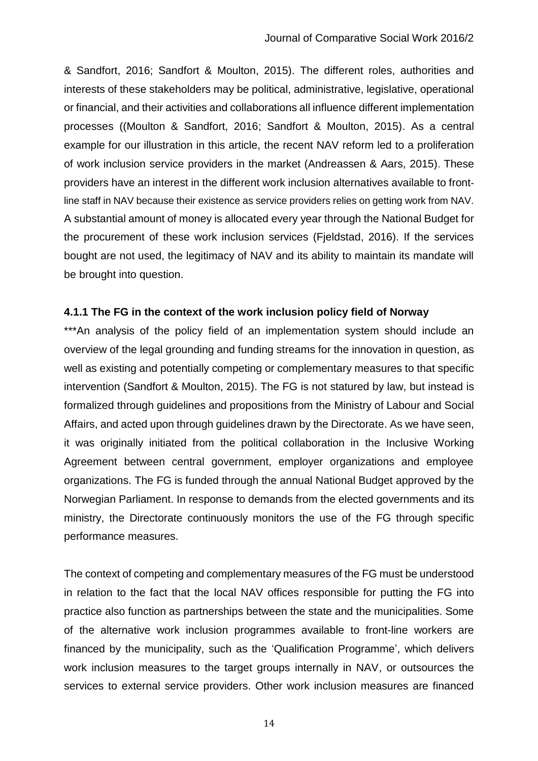& Sandfort, 2016; Sandfort & Moulton, 2015). The different roles, authorities and interests of these stakeholders may be political, administrative, legislative, operational or financial, and their activities and collaborations all influence different implementation processes ((Moulton & Sandfort, 2016; Sandfort & Moulton, 2015). As a central example for our illustration in this article, the recent NAV reform led to a proliferation of work inclusion service providers in the market (Andreassen & Aars, 2015). These providers have an interest in the different work inclusion alternatives available to frontline staff in NAV because their existence as service providers relies on getting work from NAV. A substantial amount of money is allocated every year through the National Budget for the procurement of these work inclusion services (Fjeldstad, 2016). If the services bought are not used, the legitimacy of NAV and its ability to maintain its mandate will be brought into question.

#### **4.1.1 The FG in the context of the work inclusion policy field of Norway**

\*\*\*An analysis of the policy field of an implementation system should include an overview of the legal grounding and funding streams for the innovation in question, as well as existing and potentially competing or complementary measures to that specific intervention (Sandfort & Moulton, 2015). The FG is not statured by law, but instead is formalized through guidelines and propositions from the Ministry of Labour and Social Affairs, and acted upon through guidelines drawn by the Directorate. As we have seen, it was originally initiated from the political collaboration in the Inclusive Working Agreement between central government, employer organizations and employee organizations. The FG is funded through the annual National Budget approved by the Norwegian Parliament. In response to demands from the elected governments and its ministry, the Directorate continuously monitors the use of the FG through specific performance measures.

The context of competing and complementary measures of the FG must be understood in relation to the fact that the local NAV offices responsible for putting the FG into practice also function as partnerships between the state and the municipalities. Some of the alternative work inclusion programmes available to front-line workers are financed by the municipality, such as the 'Qualification Programme', which delivers work inclusion measures to the target groups internally in NAV, or outsources the services to external service providers. Other work inclusion measures are financed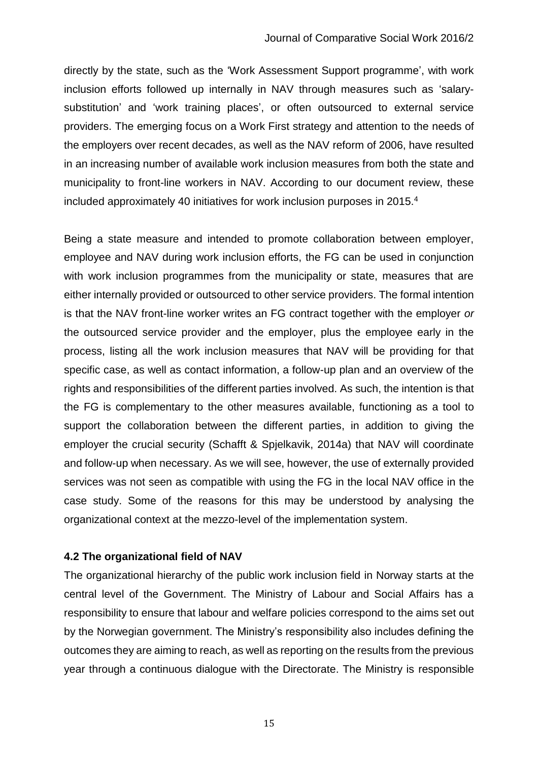directly by the state, such as the 'Work Assessment Support programme', with work inclusion efforts followed up internally in NAV through measures such as 'salarysubstitution' and 'work training places', or often outsourced to external service providers. The emerging focus on a Work First strategy and attention to the needs of the employers over recent decades, as well as the NAV reform of 2006, have resulted in an increasing number of available work inclusion measures from both the state and municipality to front-line workers in NAV. According to our document review, these included approximately 40 initiatives for work inclusion purposes in 2015.<sup>4</sup>

Being a state measure and intended to promote collaboration between employer, employee and NAV during work inclusion efforts, the FG can be used in conjunction with work inclusion programmes from the municipality or state, measures that are either internally provided or outsourced to other service providers. The formal intention is that the NAV front-line worker writes an FG contract together with the employer *or* the outsourced service provider and the employer, plus the employee early in the process, listing all the work inclusion measures that NAV will be providing for that specific case, as well as contact information, a follow-up plan and an overview of the rights and responsibilities of the different parties involved. As such, the intention is that the FG is complementary to the other measures available, functioning as a tool to support the collaboration between the different parties, in addition to giving the employer the crucial security (Schafft & Spjelkavik, 2014a) that NAV will coordinate and follow-up when necessary. As we will see, however, the use of externally provided services was not seen as compatible with using the FG in the local NAV office in the case study. Some of the reasons for this may be understood by analysing the organizational context at the mezzo-level of the implementation system.

#### **4.2 The organizational field of NAV**

The organizational hierarchy of the public work inclusion field in Norway starts at the central level of the Government. The Ministry of Labour and Social Affairs has a responsibility to ensure that labour and welfare policies correspond to the aims set out by the Norwegian government. The Ministry's responsibility also includes defining the outcomes they are aiming to reach, as well as reporting on the results from the previous year through a continuous dialogue with the Directorate. The Ministry is responsible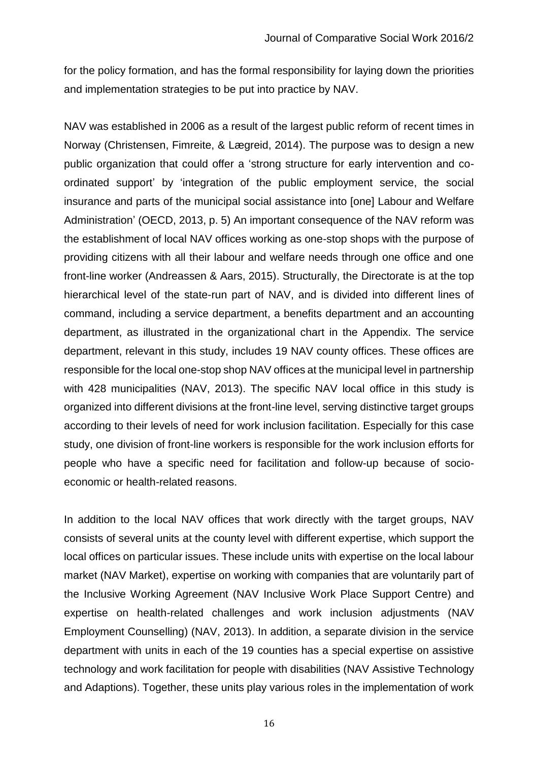for the policy formation, and has the formal responsibility for laying down the priorities and implementation strategies to be put into practice by NAV.

NAV was established in 2006 as a result of the largest public reform of recent times in Norway (Christensen, Fimreite, & Lægreid, 2014). The purpose was to design a new public organization that could offer a 'strong structure for early intervention and coordinated support' by 'integration of the public employment service, the social insurance and parts of the municipal social assistance into [one] Labour and Welfare Administration' (OECD, 2013, p. 5) An important consequence of the NAV reform was the establishment of local NAV offices working as one-stop shops with the purpose of providing citizens with all their labour and welfare needs through one office and one front-line worker (Andreassen & Aars, 2015). Structurally, the Directorate is at the top hierarchical level of the state-run part of NAV, and is divided into different lines of command, including a service department, a benefits department and an accounting department, as illustrated in the organizational chart in the Appendix. The service department, relevant in this study, includes 19 NAV county offices. These offices are responsible for the local one-stop shop NAV offices at the municipal level in partnership with 428 municipalities (NAV, 2013). The specific NAV local office in this study is organized into different divisions at the front-line level, serving distinctive target groups according to their levels of need for work inclusion facilitation. Especially for this case study, one division of front-line workers is responsible for the work inclusion efforts for people who have a specific need for facilitation and follow-up because of socioeconomic or health-related reasons.

In addition to the local NAV offices that work directly with the target groups, NAV consists of several units at the county level with different expertise, which support the local offices on particular issues. These include units with expertise on the local labour market (NAV Market), expertise on working with companies that are voluntarily part of the Inclusive Working Agreement (NAV Inclusive Work Place Support Centre) and expertise on health-related challenges and work inclusion adjustments (NAV Employment Counselling) (NAV, 2013). In addition, a separate division in the service department with units in each of the 19 counties has a special expertise on assistive technology and work facilitation for people with disabilities (NAV Assistive Technology and Adaptions). Together, these units play various roles in the implementation of work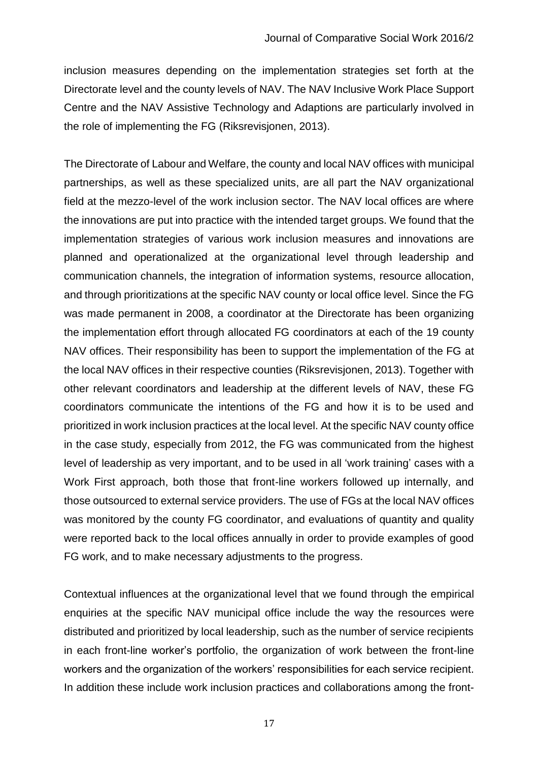inclusion measures depending on the implementation strategies set forth at the Directorate level and the county levels of NAV. The NAV Inclusive Work Place Support Centre and the NAV Assistive Technology and Adaptions are particularly involved in the role of implementing the FG (Riksrevisjonen, 2013).

The Directorate of Labour and Welfare, the county and local NAV offices with municipal partnerships, as well as these specialized units, are all part the NAV organizational field at the mezzo-level of the work inclusion sector. The NAV local offices are where the innovations are put into practice with the intended target groups. We found that the implementation strategies of various work inclusion measures and innovations are planned and operationalized at the organizational level through leadership and communication channels, the integration of information systems, resource allocation, and through prioritizations at the specific NAV county or local office level. Since the FG was made permanent in 2008, a coordinator at the Directorate has been organizing the implementation effort through allocated FG coordinators at each of the 19 county NAV offices. Their responsibility has been to support the implementation of the FG at the local NAV offices in their respective counties (Riksrevisjonen, 2013). Together with other relevant coordinators and leadership at the different levels of NAV, these FG coordinators communicate the intentions of the FG and how it is to be used and prioritized in work inclusion practices at the local level. At the specific NAV county office in the case study, especially from 2012, the FG was communicated from the highest level of leadership as very important, and to be used in all 'work training' cases with a Work First approach, both those that front-line workers followed up internally, and those outsourced to external service providers. The use of FGs at the local NAV offices was monitored by the county FG coordinator, and evaluations of quantity and quality were reported back to the local offices annually in order to provide examples of good FG work, and to make necessary adjustments to the progress.

Contextual influences at the organizational level that we found through the empirical enquiries at the specific NAV municipal office include the way the resources were distributed and prioritized by local leadership, such as the number of service recipients in each front-line worker's portfolio, the organization of work between the front-line workers and the organization of the workers' responsibilities for each service recipient. In addition these include work inclusion practices and collaborations among the front-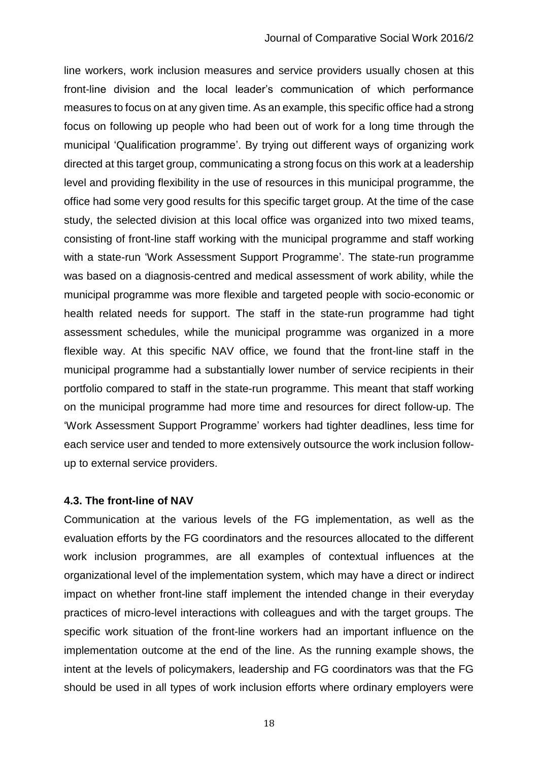line workers, work inclusion measures and service providers usually chosen at this front-line division and the local leader's communication of which performance measures to focus on at any given time. As an example, this specific office had a strong focus on following up people who had been out of work for a long time through the municipal 'Qualification programme'. By trying out different ways of organizing work directed at this target group, communicating a strong focus on this work at a leadership level and providing flexibility in the use of resources in this municipal programme, the office had some very good results for this specific target group. At the time of the case study, the selected division at this local office was organized into two mixed teams, consisting of front-line staff working with the municipal programme and staff working with a state-run 'Work Assessment Support Programme'. The state-run programme was based on a diagnosis-centred and medical assessment of work ability, while the municipal programme was more flexible and targeted people with socio-economic or health related needs for support. The staff in the state-run programme had tight assessment schedules, while the municipal programme was organized in a more flexible way. At this specific NAV office, we found that the front-line staff in the municipal programme had a substantially lower number of service recipients in their portfolio compared to staff in the state-run programme. This meant that staff working on the municipal programme had more time and resources for direct follow-up. The 'Work Assessment Support Programme' workers had tighter deadlines, less time for each service user and tended to more extensively outsource the work inclusion followup to external service providers.

#### **4.3. The front-line of NAV**

Communication at the various levels of the FG implementation, as well as the evaluation efforts by the FG coordinators and the resources allocated to the different work inclusion programmes, are all examples of contextual influences at the organizational level of the implementation system, which may have a direct or indirect impact on whether front-line staff implement the intended change in their everyday practices of micro-level interactions with colleagues and with the target groups. The specific work situation of the front-line workers had an important influence on the implementation outcome at the end of the line. As the running example shows, the intent at the levels of policymakers, leadership and FG coordinators was that the FG should be used in all types of work inclusion efforts where ordinary employers were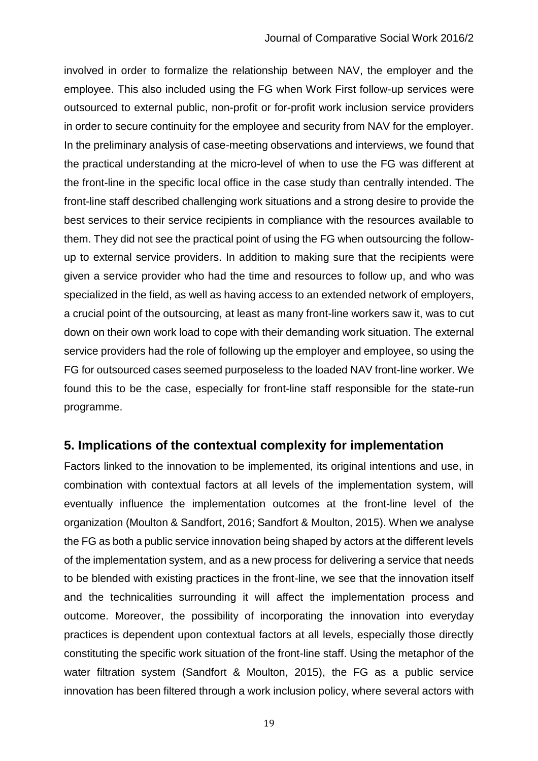involved in order to formalize the relationship between NAV, the employer and the employee. This also included using the FG when Work First follow-up services were outsourced to external public, non-profit or for-profit work inclusion service providers in order to secure continuity for the employee and security from NAV for the employer. In the preliminary analysis of case-meeting observations and interviews, we found that the practical understanding at the micro-level of when to use the FG was different at the front-line in the specific local office in the case study than centrally intended. The front-line staff described challenging work situations and a strong desire to provide the best services to their service recipients in compliance with the resources available to them. They did not see the practical point of using the FG when outsourcing the followup to external service providers. In addition to making sure that the recipients were given a service provider who had the time and resources to follow up, and who was specialized in the field, as well as having access to an extended network of employers, a crucial point of the outsourcing, at least as many front-line workers saw it, was to cut down on their own work load to cope with their demanding work situation. The external service providers had the role of following up the employer and employee, so using the FG for outsourced cases seemed purposeless to the loaded NAV front-line worker. We found this to be the case, especially for front-line staff responsible for the state-run programme.

## **5. Implications of the contextual complexity for implementation**

Factors linked to the innovation to be implemented, its original intentions and use, in combination with contextual factors at all levels of the implementation system, will eventually influence the implementation outcomes at the front-line level of the organization (Moulton & Sandfort, 2016; Sandfort & Moulton, 2015). When we analyse the FG as both a public service innovation being shaped by actors at the different levels of the implementation system, and as a new process for delivering a service that needs to be blended with existing practices in the front-line, we see that the innovation itself and the technicalities surrounding it will affect the implementation process and outcome. Moreover, the possibility of incorporating the innovation into everyday practices is dependent upon contextual factors at all levels, especially those directly constituting the specific work situation of the front-line staff. Using the metaphor of the water filtration system (Sandfort & Moulton, 2015), the FG as a public service innovation has been filtered through a work inclusion policy, where several actors with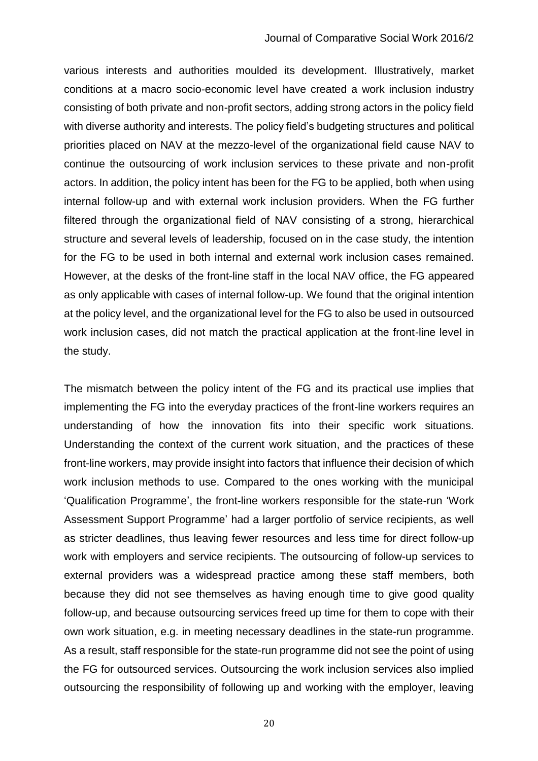#### Journal of Comparative Social Work 2016/2

various interests and authorities moulded its development. Illustratively, market conditions at a macro socio-economic level have created a work inclusion industry consisting of both private and non-profit sectors, adding strong actors in the policy field with diverse authority and interests. The policy field's budgeting structures and political priorities placed on NAV at the mezzo-level of the organizational field cause NAV to continue the outsourcing of work inclusion services to these private and non-profit actors. In addition, the policy intent has been for the FG to be applied, both when using internal follow-up and with external work inclusion providers. When the FG further filtered through the organizational field of NAV consisting of a strong, hierarchical structure and several levels of leadership, focused on in the case study, the intention for the FG to be used in both internal and external work inclusion cases remained. However, at the desks of the front-line staff in the local NAV office, the FG appeared as only applicable with cases of internal follow-up. We found that the original intention at the policy level, and the organizational level for the FG to also be used in outsourced work inclusion cases, did not match the practical application at the front-line level in the study.

The mismatch between the policy intent of the FG and its practical use implies that implementing the FG into the everyday practices of the front-line workers requires an understanding of how the innovation fits into their specific work situations. Understanding the context of the current work situation, and the practices of these front-line workers, may provide insight into factors that influence their decision of which work inclusion methods to use. Compared to the ones working with the municipal 'Qualification Programme', the front-line workers responsible for the state-run 'Work Assessment Support Programme' had a larger portfolio of service recipients, as well as stricter deadlines, thus leaving fewer resources and less time for direct follow-up work with employers and service recipients. The outsourcing of follow-up services to external providers was a widespread practice among these staff members, both because they did not see themselves as having enough time to give good quality follow-up, and because outsourcing services freed up time for them to cope with their own work situation, e.g. in meeting necessary deadlines in the state-run programme. As a result, staff responsible for the state-run programme did not see the point of using the FG for outsourced services. Outsourcing the work inclusion services also implied outsourcing the responsibility of following up and working with the employer, leaving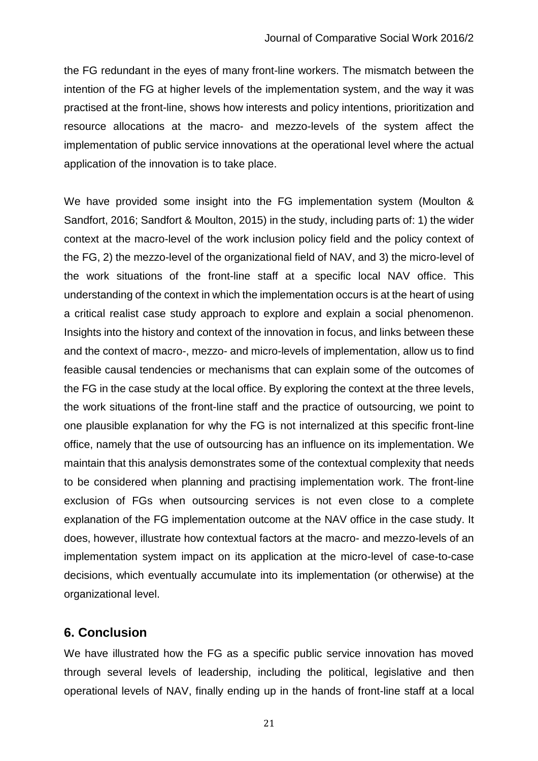the FG redundant in the eyes of many front-line workers. The mismatch between the intention of the FG at higher levels of the implementation system, and the way it was practised at the front-line, shows how interests and policy intentions, prioritization and resource allocations at the macro- and mezzo-levels of the system affect the implementation of public service innovations at the operational level where the actual application of the innovation is to take place.

We have provided some insight into the FG implementation system (Moulton & Sandfort, 2016; Sandfort & Moulton, 2015) in the study, including parts of: 1) the wider context at the macro-level of the work inclusion policy field and the policy context of the FG, 2) the mezzo-level of the organizational field of NAV, and 3) the micro-level of the work situations of the front-line staff at a specific local NAV office. This understanding of the context in which the implementation occurs is at the heart of using a critical realist case study approach to explore and explain a social phenomenon. Insights into the history and context of the innovation in focus, and links between these and the context of macro-, mezzo- and micro-levels of implementation, allow us to find feasible causal tendencies or mechanisms that can explain some of the outcomes of the FG in the case study at the local office. By exploring the context at the three levels, the work situations of the front-line staff and the practice of outsourcing, we point to one plausible explanation for why the FG is not internalized at this specific front-line office, namely that the use of outsourcing has an influence on its implementation. We maintain that this analysis demonstrates some of the contextual complexity that needs to be considered when planning and practising implementation work. The front-line exclusion of FGs when outsourcing services is not even close to a complete explanation of the FG implementation outcome at the NAV office in the case study. It does, however, illustrate how contextual factors at the macro- and mezzo-levels of an implementation system impact on its application at the micro-level of case-to-case decisions, which eventually accumulate into its implementation (or otherwise) at the organizational level.

# **6. Conclusion**

We have illustrated how the FG as a specific public service innovation has moved through several levels of leadership, including the political, legislative and then operational levels of NAV, finally ending up in the hands of front-line staff at a local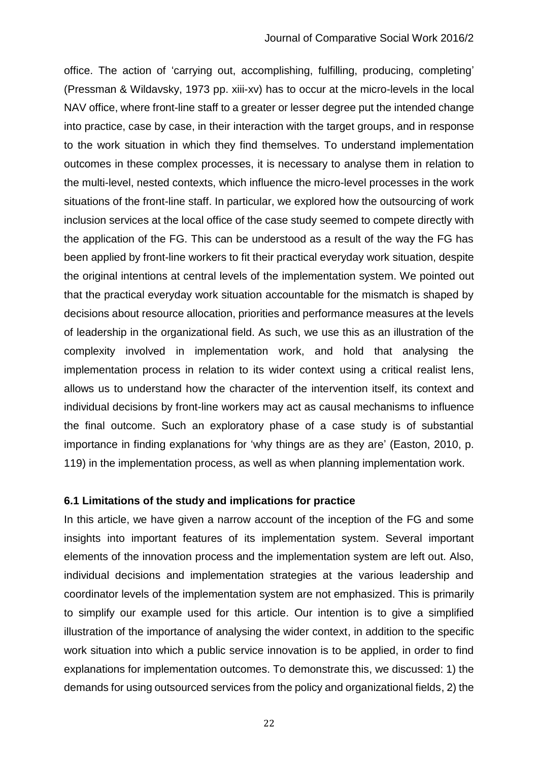office. The action of 'carrying out, accomplishing, fulfilling, producing, completing' (Pressman & Wildavsky, 1973 pp. xiii-xv) has to occur at the micro-levels in the local NAV office, where front-line staff to a greater or lesser degree put the intended change into practice, case by case, in their interaction with the target groups, and in response to the work situation in which they find themselves. To understand implementation outcomes in these complex processes, it is necessary to analyse them in relation to the multi-level, nested contexts, which influence the micro-level processes in the work situations of the front-line staff. In particular, we explored how the outsourcing of work inclusion services at the local office of the case study seemed to compete directly with the application of the FG. This can be understood as a result of the way the FG has been applied by front-line workers to fit their practical everyday work situation, despite the original intentions at central levels of the implementation system. We pointed out that the practical everyday work situation accountable for the mismatch is shaped by decisions about resource allocation, priorities and performance measures at the levels of leadership in the organizational field. As such, we use this as an illustration of the complexity involved in implementation work, and hold that analysing the implementation process in relation to its wider context using a critical realist lens, allows us to understand how the character of the intervention itself, its context and individual decisions by front-line workers may act as causal mechanisms to influence the final outcome. Such an exploratory phase of a case study is of substantial importance in finding explanations for 'why things are as they are' (Easton, 2010, p. 119) in the implementation process, as well as when planning implementation work.

#### **6.1 Limitations of the study and implications for practice**

In this article, we have given a narrow account of the inception of the FG and some insights into important features of its implementation system. Several important elements of the innovation process and the implementation system are left out. Also, individual decisions and implementation strategies at the various leadership and coordinator levels of the implementation system are not emphasized. This is primarily to simplify our example used for this article. Our intention is to give a simplified illustration of the importance of analysing the wider context, in addition to the specific work situation into which a public service innovation is to be applied, in order to find explanations for implementation outcomes. To demonstrate this, we discussed: 1) the demands for using outsourced services from the policy and organizational fields, 2) the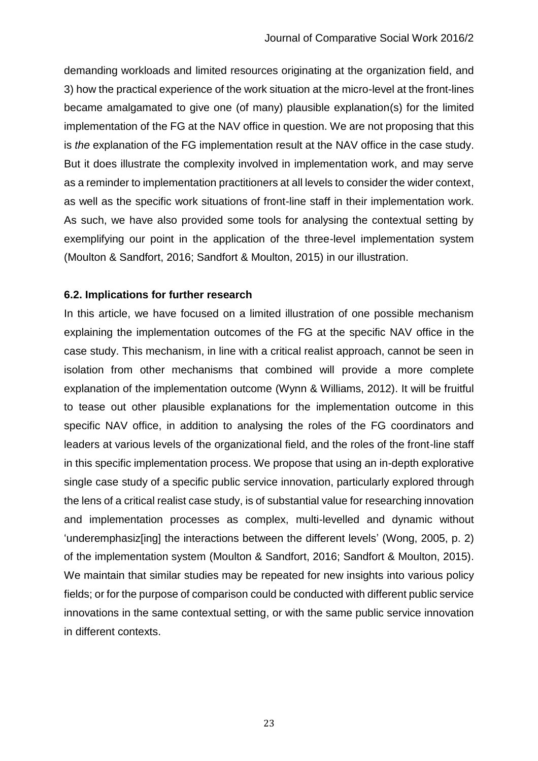demanding workloads and limited resources originating at the organization field, and 3) how the practical experience of the work situation at the micro-level at the front-lines became amalgamated to give one (of many) plausible explanation(s) for the limited implementation of the FG at the NAV office in question. We are not proposing that this is *the* explanation of the FG implementation result at the NAV office in the case study. But it does illustrate the complexity involved in implementation work, and may serve as a reminder to implementation practitioners at all levels to consider the wider context, as well as the specific work situations of front-line staff in their implementation work. As such, we have also provided some tools for analysing the contextual setting by exemplifying our point in the application of the three-level implementation system (Moulton & Sandfort, 2016; Sandfort & Moulton, 2015) in our illustration.

#### **6.2. Implications for further research**

In this article, we have focused on a limited illustration of one possible mechanism explaining the implementation outcomes of the FG at the specific NAV office in the case study. This mechanism, in line with a critical realist approach, cannot be seen in isolation from other mechanisms that combined will provide a more complete explanation of the implementation outcome (Wynn & Williams, 2012). It will be fruitful to tease out other plausible explanations for the implementation outcome in this specific NAV office, in addition to analysing the roles of the FG coordinators and leaders at various levels of the organizational field, and the roles of the front-line staff in this specific implementation process. We propose that using an in-depth explorative single case study of a specific public service innovation, particularly explored through the lens of a critical realist case study, is of substantial value for researching innovation and implementation processes as complex, multi-levelled and dynamic without 'underemphasiz[ing] the interactions between the different levels' (Wong, 2005, p. 2) of the implementation system (Moulton & Sandfort, 2016; Sandfort & Moulton, 2015). We maintain that similar studies may be repeated for new insights into various policy fields; or for the purpose of comparison could be conducted with different public service innovations in the same contextual setting, or with the same public service innovation in different contexts.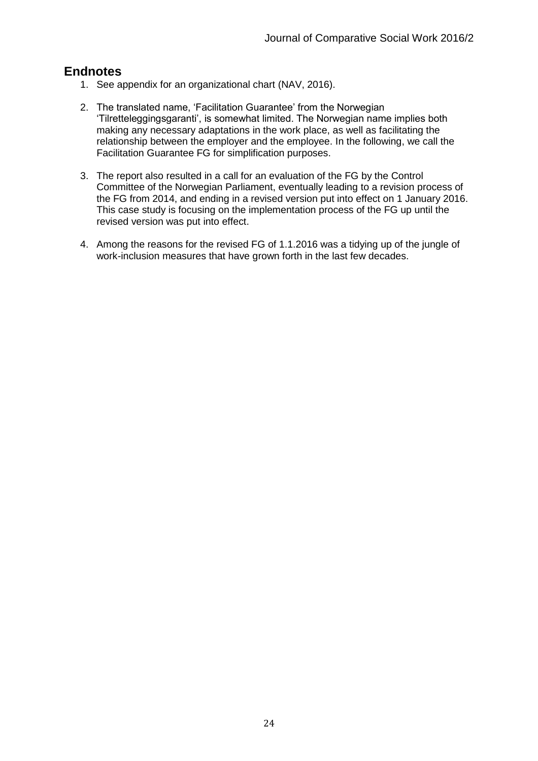# **Endnotes**

- 1. See appendix for an organizational chart (NAV, 2016).
- 2. The translated name, 'Facilitation Guarantee' from the Norwegian 'Tilretteleggingsgaranti', is somewhat limited. The Norwegian name implies both making any necessary adaptations in the work place, as well as facilitating the relationship between the employer and the employee. In the following, we call the Facilitation Guarantee FG for simplification purposes.
- 3. The report also resulted in a call for an evaluation of the FG by the Control Committee of the Norwegian Parliament, eventually leading to a revision process of the FG from 2014, and ending in a revised version put into effect on 1 January 2016. This case study is focusing on the implementation process of the FG up until the revised version was put into effect.
- 4. Among the reasons for the revised FG of 1.1.2016 was a tidying up of the jungle of work-inclusion measures that have grown forth in the last few decades.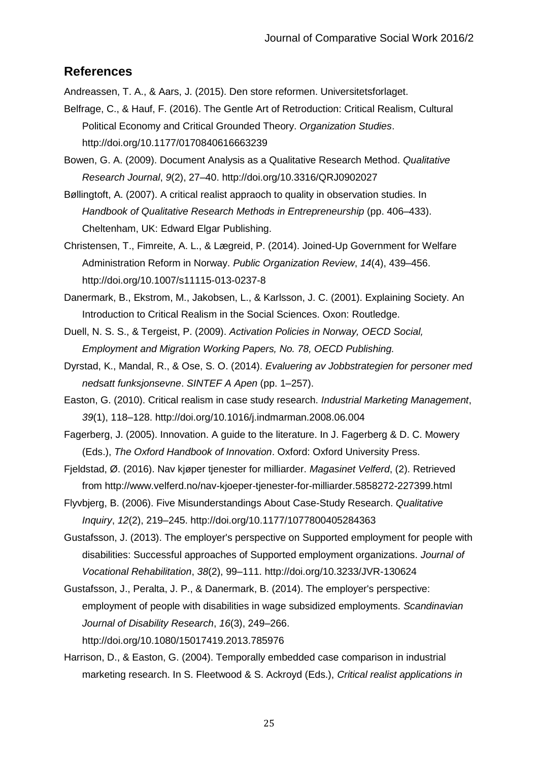# **References**

Andreassen, T. A., & Aars, J. (2015). Den store reformen. Universitetsforlaget.

- Belfrage, C., & Hauf, F. (2016). The Gentle Art of Retroduction: Critical Realism, Cultural Political Economy and Critical Grounded Theory. *Organization Studies*. http://doi.org/10.1177/0170840616663239
- Bowen, G. A. (2009). Document Analysis as a Qualitative Research Method. *Qualitative Research Journal*, *9*(2), 27–40. http://doi.org/10.3316/QRJ0902027
- Bøllingtoft, A. (2007). A critical realist appraoch to quality in observation studies. In *Handbook of Qualitative Research Methods in Entrepreneurship* (pp. 406–433). Cheltenham, UK: Edward Elgar Publishing.
- Christensen, T., Fimreite, A. L., & Lægreid, P. (2014). Joined-Up Government for Welfare Administration Reform in Norway. *Public Organization Review*, *14*(4), 439–456. http://doi.org/10.1007/s11115-013-0237-8
- Danermark, B., Ekstrom, M., Jakobsen, L., & Karlsson, J. C. (2001). Explaining Society. An Introduction to Critical Realism in the Social Sciences. Oxon: Routledge.
- Duell, N. S. S., & Tergeist, P. (2009). *Activation Policies in Norway, OECD Social, Employment and Migration Working Papers, No. 78, OECD Publishing.*
- Dyrstad, K., Mandal, R., & Ose, S. O. (2014). *Evaluering av Jobbstrategien for personer med nedsatt funksjonsevne*. *SINTEF A Apen* (pp. 1–257).
- Easton, G. (2010). Critical realism in case study research. *Industrial Marketing Management*, *39*(1), 118–128. http://doi.org/10.1016/j.indmarman.2008.06.004
- Fagerberg, J. (2005). Innovation. A guide to the literature. In J. Fagerberg & D. C. Mowery (Eds.), *The Oxford Handbook of Innovation*. Oxford: Oxford University Press.
- Fjeldstad, Ø. (2016). Nav kjøper tjenester for milliarder. *Magasinet Velferd*, (2). Retrieved from http://www.velferd.no/nav-kjoeper-tjenester-for-milliarder.5858272-227399.html
- Flyvbjerg, B. (2006). Five Misunderstandings About Case-Study Research. *Qualitative Inquiry*, *12*(2), 219–245. http://doi.org/10.1177/1077800405284363
- Gustafsson, J. (2013). The employer's perspective on Supported employment for people with disabilities: Successful approaches of Supported employment organizations. *Journal of Vocational Rehabilitation*, *38*(2), 99–111. http://doi.org/10.3233/JVR-130624
- Gustafsson, J., Peralta, J. P., & Danermark, B. (2014). The employer's perspective: employment of people with disabilities in wage subsidized employments. *Scandinavian Journal of Disability Research*, *16*(3), 249–266. http://doi.org/10.1080/15017419.2013.785976
- Harrison, D., & Easton, G. (2004). Temporally embedded case comparison in industrial marketing research. In S. Fleetwood & S. Ackroyd (Eds.), *Critical realist applications in*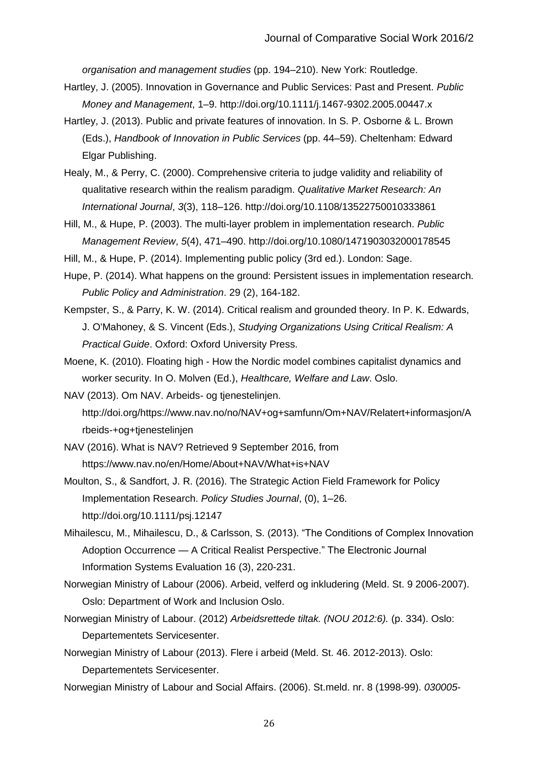*organisation and management studies* (pp. 194–210). New York: Routledge.

- Hartley, J. (2005). Innovation in Governance and Public Services: Past and Present. *Public Money and Management*, 1–9. http://doi.org/10.1111/j.1467-9302.2005.00447.x
- Hartley, J. (2013). Public and private features of innovation. In S. P. Osborne & L. Brown (Eds.), *Handbook of Innovation in Public Services* (pp. 44–59). Cheltenham: Edward Elgar Publishing.
- Healy, M., & Perry, C. (2000). Comprehensive criteria to judge validity and reliability of qualitative research within the realism paradigm. *Qualitative Market Research: An International Journal*, *3*(3), 118–126. http://doi.org/10.1108/13522750010333861
- Hill, M., & Hupe, P. (2003). The multi-layer problem in implementation research. *Public Management Review*, *5*(4), 471–490. http://doi.org/10.1080/1471903032000178545

Hill, M., & Hupe, P. (2014). Implementing public policy (3rd ed.). London: Sage.

- Hupe, P. (2014). What happens on the ground: Persistent issues in implementation research. *Public Policy and Administration*. 29 (2), 164-182.
- Kempster, S., & Parry, K. W. (2014). Critical realism and grounded theory. In P. K. Edwards, J. O'Mahoney, & S. Vincent (Eds.), *Studying Organizations Using Critical Realism: A Practical Guide*. Oxford: Oxford University Press.
- Moene, K. (2010). Floating high How the Nordic model combines capitalist dynamics and worker security. In O. Molven (Ed.), *Healthcare, Welfare and Law*. Oslo.
- NAV (2013). Om NAV. Arbeids- og tjenestelinjen. http://doi.org/https://www.nav.no/no/NAV+og+samfunn/Om+NAV/Relatert+informasjon/A rbeids-+og+tjenestelinjen
- NAV (2016). What is NAV? Retrieved 9 September 2016, from https://www.nav.no/en/Home/About+NAV/What+is+NAV
- Moulton, S., & Sandfort, J. R. (2016). The Strategic Action Field Framework for Policy Implementation Research. *Policy Studies Journal*, (0), 1–26. http://doi.org/10.1111/psj.12147
- Mihailescu, M., Mihailescu, D., & Carlsson, S. (2013). "The Conditions of Complex Innovation Adoption Occurrence — A Critical Realist Perspective." The Electronic Journal Information Systems Evaluation 16 (3), 220-231.
- Norwegian Ministry of Labour (2006). Arbeid, velferd og inkludering (Meld. St. 9 2006-2007). Oslo: Department of Work and Inclusion Oslo.
- Norwegian Ministry of Labour. (2012) *Arbeidsrettede tiltak. (NOU 2012:6).* (p. 334). Oslo: Departementets Servicesenter.
- Norwegian Ministry of Labour (2013). Flere i arbeid (Meld. St. 46. 2012-2013). Oslo: Departementets Servicesenter.
- Norwegian Ministry of Labour and Social Affairs. (2006). St.meld. nr. 8 (1998-99). *030005-*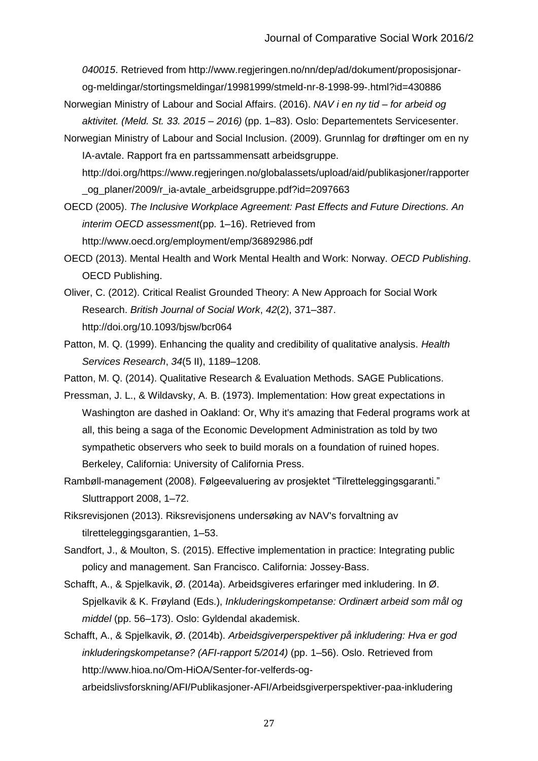*040015*. Retrieved from http://www.regjeringen.no/nn/dep/ad/dokument/proposisjonarog-meldingar/stortingsmeldingar/19981999/stmeld-nr-8-1998-99-.html?id=430886

- Norwegian Ministry of Labour and Social Affairs. (2016). *NAV i en ny tid – for arbeid og aktivitet. (Meld. St. 33. 2015 – 2016)* (pp. 1–83). Oslo: Departementets Servicesenter.
- Norwegian Ministry of Labour and Social Inclusion. (2009). Grunnlag for drøftinger om en ny IA-avtale. Rapport fra en partssammensatt arbeidsgruppe. http://doi.org/https://www.regjeringen.no/globalassets/upload/aid/publikasjoner/rapporter

\_og\_planer/2009/r\_ia-avtale\_arbeidsgruppe.pdf?id=2097663

- OECD (2005). *The Inclusive Workplace Agreement: Past Effects and Future Directions. An interim OECD assessment*(pp. 1–16). Retrieved from http://www.oecd.org/employment/emp/36892986.pdf
- OECD (2013). Mental Health and Work Mental Health and Work: Norway. *OECD Publishing*. OECD Publishing.
- Oliver, C. (2012). Critical Realist Grounded Theory: A New Approach for Social Work Research. *British Journal of Social Work*, *42*(2), 371–387. http://doi.org/10.1093/bjsw/bcr064
- Patton, M. Q. (1999). Enhancing the quality and credibility of qualitative analysis. *Health Services Research*, *34*(5 II), 1189–1208.
- Patton, M. Q. (2014). Qualitative Research & Evaluation Methods. SAGE Publications.
- Pressman, J. L., & Wildavsky, A. B. (1973). Implementation: How great expectations in Washington are dashed in Oakland: Or, Why it's amazing that Federal programs work at all, this being a saga of the Economic Development Administration as told by two sympathetic observers who seek to build morals on a foundation of ruined hopes. Berkeley, California: University of California Press.
- Rambøll-management (2008). Følgeevaluering av prosjektet "Tilretteleggingsgaranti." Sluttrapport 2008, 1–72.
- Riksrevisjonen (2013). Riksrevisjonens undersøking av NAV's forvaltning av tilretteleggingsgarantien, 1–53.
- Sandfort, J., & Moulton, S. (2015). Effective implementation in practice: Integrating public policy and management. San Francisco. California: Jossey-Bass.
- Schafft, A., & Spjelkavik, Ø. (2014a). Arbeidsgiveres erfaringer med inkludering. In Ø. Spjelkavik & K. Frøyland (Eds.), *Inkluderingskompetanse: Ordinært arbeid som mål og middel* (pp. 56–173). Oslo: Gyldendal akademisk.

Schafft, A., & Spjelkavik, Ø. (2014b). *Arbeidsgiverperspektiver på inkludering: Hva er god inkluderingskompetanse? (AFI-rapport 5/2014)* (pp. 1–56). Oslo. Retrieved from http://www.hioa.no/Om-HiOA/Senter-for-velferds-ogarbeidslivsforskning/AFI/Publikasjoner-AFI/Arbeidsgiverperspektiver-paa-inkludering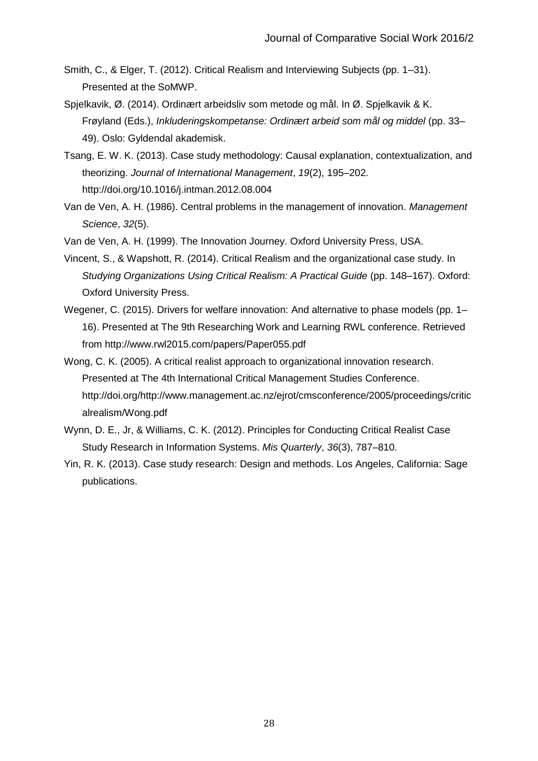- Smith, C., & Elger, T. (2012). Critical Realism and Interviewing Subjects (pp. 1–31). Presented at the SoMWP.
- Spjelkavik, Ø. (2014). Ordinært arbeidsliv som metode og mål. In Ø. Spjelkavik & K. Frøyland (Eds.), *Inkluderingskompetanse: Ordinært arbeid som mål og middel* (pp. 33– 49). Oslo: Gyldendal akademisk.
- Tsang, E. W. K. (2013). Case study methodology: Causal explanation, contextualization, and theorizing. *Journal of International Management*, *19*(2), 195–202. http://doi.org/10.1016/j.intman.2012.08.004
- Van de Ven, A. H. (1986). Central problems in the management of innovation. *Management Science*, *32*(5).
- Van de Ven, A. H. (1999). The Innovation Journey. Oxford University Press, USA.
- Vincent, S., & Wapshott, R. (2014). Critical Realism and the organizational case study. In *Studying Organizations Using Critical Realism: A Practical Guide* (pp. 148–167). Oxford: Oxford University Press.
- Wegener, C. (2015). Drivers for welfare innovation: And alternative to phase models (pp. 1– 16). Presented at The 9th Researching Work and Learning RWL conference. Retrieved from http://www.rwl2015.com/papers/Paper055.pdf
- Wong, C. K. (2005). A critical realist approach to organizational innovation research. Presented at The 4th International Critical Management Studies Conference. http://doi.org/http://www.management.ac.nz/ejrot/cmsconference/2005/proceedings/critic alrealism/Wong.pdf
- Wynn, D. E., Jr, & Williams, C. K. (2012). Principles for Conducting Critical Realist Case Study Research in Information Systems. *Mis Quarterly*, *36*(3), 787–810.
- Yin, R. K. (2013). Case study research: Design and methods. Los Angeles, California: Sage publications.